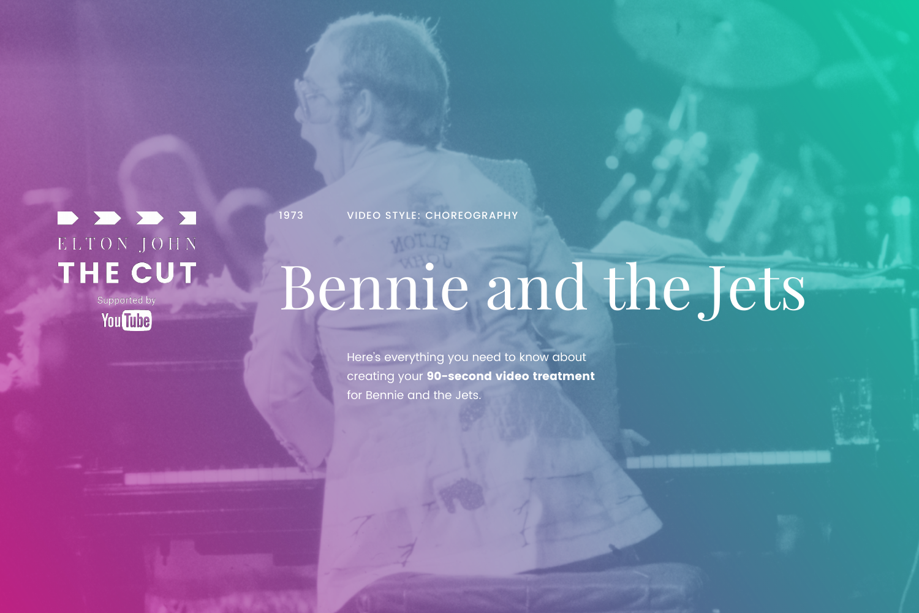# BDDD ELTON JOHN THE CUT

Supported by **You Tube** 

# Bennie and the Jets

Here's everything you need to know about creating your 90-second video treatment for Bennie and the Jets.



1973 VIDEO STYLE: CHOREOGRAPHY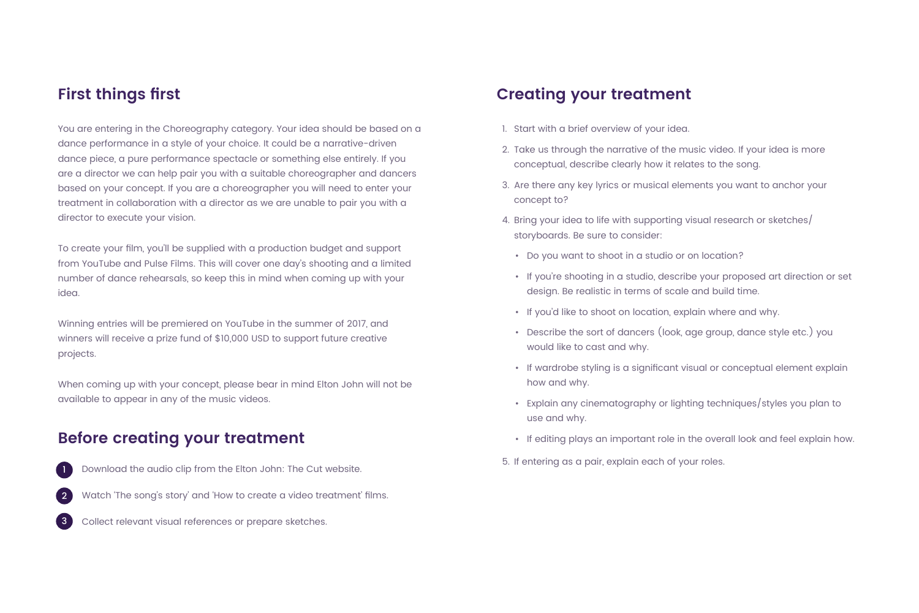You are entering in the Choreography category. Your idea should be based on a dance performance in a style of your choice. It could be a narrative-driven dance piece, a pure performance spectacle or something else entirely. If you are a director we can help pair you with a suitable choreographer and dancers based on your concept. If you are a choreographer you will need to enter your treatment in collaboration with a director as we are unable to pair you with a director to execute your vision.

To create your film, you'll be supplied with a production budget and support from YouTube and Pulse Films. This will cover one day's shooting and a limited number of dance rehearsals, so keep this in mind when coming up with your idea.

Winning entries will be premiered on YouTube in the summer of 2017, and winners will receive a prize fund of \$10,000 USD to support future creative projects.

When coming up with your concept, please bear in mind Elton John will not be available to appear in any of the music videos.

Download the audio clip from the Elton John: The Cut website.

Watch 'The song's story' and 'How to create a video treatment' films.

Collect relevant visual references or prepare sketches.







- 1. Start with a brief overview of your idea.
- 2. Take us through the narrative of the music video. If your idea is more conceptual, describe clearly how it relates to the song.
- 3. Are there any key lyrics or musical elements you want to anchor your concept to?
- 4. Bring your idea to life with supporting visual research or sketches/ storyboards. Be sure to consider:
	- Do you want to shoot in a studio or on location?
	- If you're shooting in a studio, describe your proposed art direction or set design. Be realistic in terms of scale and build time.
	- If you'd like to shoot on location, explain where and why.
	- Describe the sort of dancers (look, age group, dance style etc.) you would like to cast and why.
	- If wardrobe styling is a significant visual or conceptual element explain how and why.
	- Explain any cinematography or lighting techniques/styles you plan to use and why.
	- If editing plays an important role in the overall look and feel explain how.
- 5. If entering as a pair, explain each of your roles.

## **First things first**

#### **Before creating your treatment**

#### **Creating your treatment**